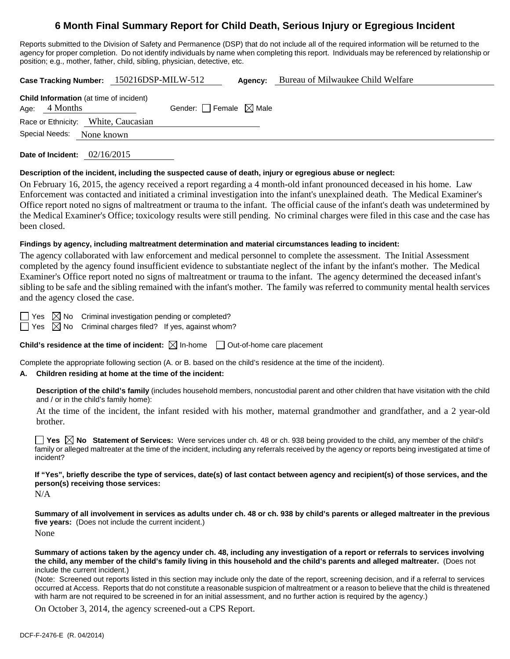# **6 Month Final Summary Report for Child Death, Serious Injury or Egregious Incident**

Reports submitted to the Division of Safety and Permanence (DSP) that do not include all of the required information will be returned to the agency for proper completion. Do not identify individuals by name when completing this report. Individuals may be referenced by relationship or position; e.g., mother, father, child, sibling, physician, detective, etc.

**Case Tracking Number:** 150216DSP-MILW-512 **Agency:** Bureau of Milwaukee Child Welfare

| <b>Child Information</b> (at time of incident)<br>Age: 4 Months | Gender: Female $\boxtimes$ Male |  |
|-----------------------------------------------------------------|---------------------------------|--|
| Race or Ethnicity: White, Caucasian                             |                                 |  |
| Special Needs:<br>None known                                    |                                 |  |
|                                                                 |                                 |  |

**Date of Incident:** 02/16/2015

#### **Description of the incident, including the suspected cause of death, injury or egregious abuse or neglect:**

On February 16, 2015, the agency received a report regarding a 4 month-old infant pronounced deceased in his home. Law Enforcement was contacted and initiated a criminal investigation into the infant's unexplained death. The Medical Examiner's Office report noted no signs of maltreatment or trauma to the infant. The official cause of the infant's death was undetermined by the Medical Examiner's Office; toxicology results were still pending. No criminal charges were filed in this case and the case has been closed.

### **Findings by agency, including maltreatment determination and material circumstances leading to incident:**

The agency collaborated with law enforcement and medical personnel to complete the assessment. The Initial Assessment completed by the agency found insufficient evidence to substantiate neglect of the infant by the infant's mother. The Medical Examiner's Office report noted no signs of maltreatment or trauma to the infant. The agency determined the deceased infant's sibling to be safe and the sibling remained with the infant's mother. The family was referred to community mental health services and the agency closed the case.

Yes  $\boxtimes$  No Criminal investigation pending or completed?

 $\Box$  Yes  $\boxtimes$  No Criminal charges filed? If yes, against whom?

**Child's residence at the time of incident:**  $\boxtimes$  In-home  $\Box$  Out-of-home care placement

Complete the appropriate following section (A. or B. based on the child's residence at the time of the incident).

## **A. Children residing at home at the time of the incident:**

**Description of the child's family** (includes household members, noncustodial parent and other children that have visitation with the child and / or in the child's family home):

 At the time of the incident, the infant resided with his mother, maternal grandmother and grandfather, and a 2 year-old brother.

**Yes No** Statement of Services: Were services under ch. 48 or ch. 938 being provided to the child, any member of the child's family or alleged maltreater at the time of the incident, including any referrals received by the agency or reports being investigated at time of incident?

**If "Yes", briefly describe the type of services, date(s) of last contact between agency and recipient(s) of those services, and the person(s) receiving those services:** 

N/A

**Summary of all involvement in services as adults under ch. 48 or ch. 938 by child's parents or alleged maltreater in the previous five years:** (Does not include the current incident.) None

**Summary of actions taken by the agency under ch. 48, including any investigation of a report or referrals to services involving the child, any member of the child's family living in this household and the child's parents and alleged maltreater.** (Does not include the current incident.)

(Note: Screened out reports listed in this section may include only the date of the report, screening decision, and if a referral to services occurred at Access. Reports that do not constitute a reasonable suspicion of maltreatment or a reason to believe that the child is threatened with harm are not required to be screened in for an initial assessment, and no further action is required by the agency.)

On October 3, 2014, the agency screened-out a CPS Report.